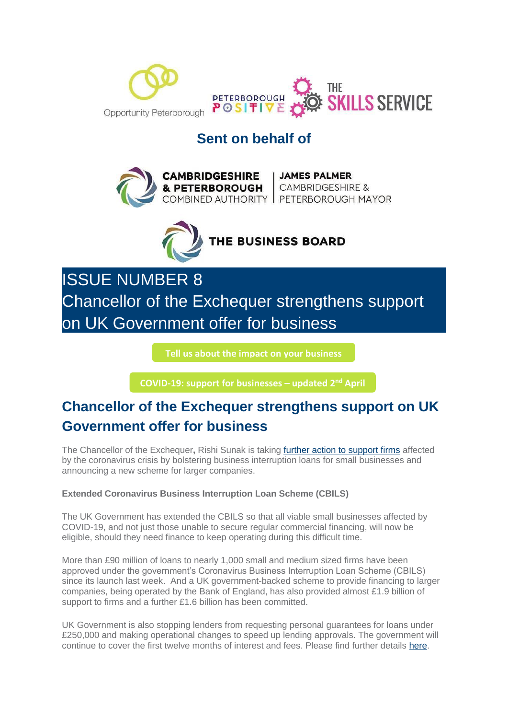

## **Sent on behalf of**



**CAMBRIDGESHIRE** JAMES PALMER<br>& PETERBOROUGH CAMBRIDGESHIRE & COMBINED AUTHORITY | PETERBOROUGH MAYOR



ISSUE NUMBER 8 Chancellor of the Exchequer strengthens support on UK Government offer for business

**[Tell us about the impact on your business](https://i7.t.hubspotemail.net/e2t/c/*W5_QYjd8Ct2dXW7L6T4F39rYHN0/*W2VrCrJ79zhK9W33THgY3X7-Bc0/5/f18dQhb0SmhQ9c-kQvW6FcT5P1m4DtzW1DpP_V7x37qHW6Blzll1Qt2G2VLDpF18CSvhfW8BSny05tgcZsW8rB-lZ39vrHZN8CRB3fV9Fr1MZ_MZcRcgcmVQBZgB5wL96LW1sL3M03MybvyW28d46X63xTt7W58jb5-4K75nCW8hvFmF7NMs04W1ZJgG09dSlS6W35rgCl94-4T0W7sLptq41TlcRW3TwTqz19BjMLN1ks0KjSbGG8W3fSWNv7cvxRcVw0r2s4bQW_qW6c44wG4ftZYfW1xZQXF6KYccyW2Nnhhm49wDTzVnR3Kx5399fJW6vkjM991GYyXW92Gqh46pVBb3VtdCBh8-hSx9W7kHDsW4kVRb4W7vmVWN7tplhrW8Z1Tn-2LB2wFW1XX-rs53SyZmW6Dtps71-rs3LW1GcK6w1XcgmtW1RkvPl1vR--LW6xCzbF1H76RcW8XjHx11MjJWrVkmHmF1J7bfRVfglxL7K_fZwN4Zg5Q0fTlLHV1KH6H1KgFpqW7tKwjk83C22TW7s-rRx7Wt1K5W64Qd463N_YjpMRHx7vQJPMrW8p0dzm8v2Fl6W63lxZV77pKj1W2LdjVl5_zHMFW3bpkdc6TBvrzW45QfPl7nxyj9W6WSjYf5YtrXHN1GY8YMVMPVbVVrLq82nLhsjf6J4pCx04)**

**[COVID-19: support for businesses](https://i7.t.hubspotemail.net/e2t/c/*W5_QYjd8Ct2dXW7L6T4F39rYHN0/*W68YdTc6wKd2jW1vHfVB396T7f0/5/f18dQhb0S4017wjzHDV1x4ml5W0JNsMC7lZThZy-FW5J53lw3ldx5hMs_14zzCYCyW3dqJNy6SLzCgW1RWmMr4GRfJpW3s_zl44Pfbv-N8gsgLRb5rWGW1K-zn255_wF_W2bTxL78RvqKQW8mmHd47z9HlJW68zlpN27NYyfW6vXb-q3gJtNNW51-1n17Z3XstW7QrNmR8rkzWJW2Mxbm96GtzZ8VDcbh93KRd4xN5gnrdjg_jR-W2Xd-8j6wgQ14VFBjjv6N6PDmV1TkcZ2m_f1BN48g4HxFywSQW2zRMkB81xRFMVtP1y05mfdkSW2xNj5Q699SPZW7jdbCL6tvXX7W4skB978z0HsHW75wnw82PcnlQN3sPf2dF3v05W8SGh337xGgfnW6rcFHy19NpfdVKBkl93fddBKW4mj-By2sDHYvW7WcFDg74VY9QW2-k38b5HnqrzW41ZhV08YKtb8W3C1nV-2dQSFsW5l1rvS8GXQ6pW8jctn84lWWgtW7w1bXP84-W6cW8Y04Vn6fS-TvN6q_Yfd2GRjgW76XRGB7T0y9XW8Gz4P01YpmbhW4QlJJs2cFp-QW2yxsXs2-sl69W3w1C3G3YQ_nKW4YWW9w498vvzW2VcRcj2SC8KbW2swn723Fv70yVcwYTl3npM5DV1vM235rlPWGW7rJPX970k0C1W9c7nlw66xYKcVVdn6v9m2MdqW666LMz9175vQW8z6hFT362l_5W1LW8Nt6HWqj8103) – updated 2nd April** 

# **Chancellor of the Exchequer strengthens support on UK Government offer for business**

The Chancellor of the Exchequer**,** Rishi Sunak is taking [further action to support firms](https://mills.createsend1.com/t/d-l-mttydjd-l-t/) affected by the coronavirus crisis by bolstering business interruption loans for small businesses and announcing a new scheme for larger companies.

#### **Extended Coronavirus Business Interruption Loan Scheme (CBILS)**

The UK Government has extended the CBILS so that all viable small businesses affected by COVID-19, and not just those unable to secure regular commercial financing, will now be eligible, should they need finance to keep operating during this difficult time.

More than £90 million of loans to nearly 1,000 small and medium sized firms have been approved under the government's Coronavirus Business Interruption Loan Scheme (CBILS) since its launch last week. And a UK government-backed scheme to provide financing to larger companies, being operated by the Bank of England, has also provided almost £1.9 billion of support to firms and a further £1.6 billion has been committed.

UK Government is also stopping lenders from requesting personal guarantees for loans under £250,000 and making operational changes to speed up lending approvals. The government will continue to cover the first twelve months of interest and fees. Please find further details [here.](https://mills.createsend1.com/t/d-l-mttydjd-l-i/)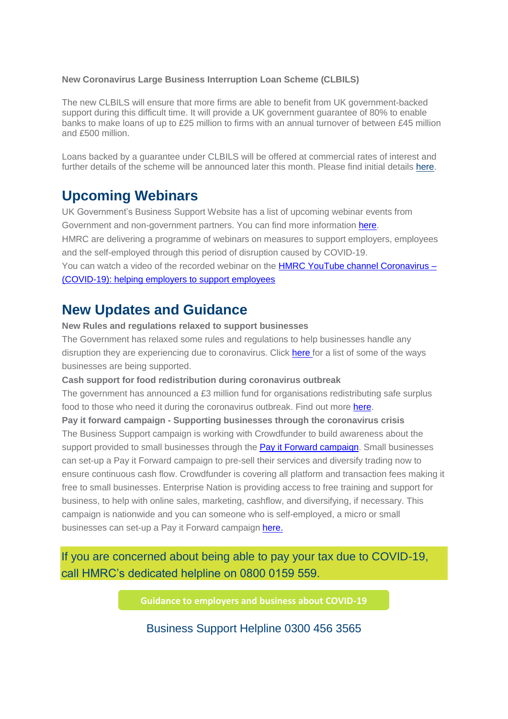#### **New Coronavirus Large Business Interruption Loan Scheme (CLBILS)**

The new CLBILS will ensure that more firms are able to benefit from UK government-backed support during this difficult time. It will provide a UK government guarantee of 80% to enable banks to make loans of up to £25 million to firms with an annual turnover of between £45 million and £500 million.

Loans backed by a guarantee under CLBILS will be offered at commercial rates of interest and further details of the scheme will be announced later this month. Please find initial details [here.](https://mills.createsend1.com/t/d-l-mttydjd-l-d/)

## **Upcoming Webinars**

UK Government's Business Support Website has a list of upcoming webinar events from Government and non-government partners. You can find more information [here.](https://mills.createsend1.com/t/d-l-mttydjd-l-h/) HMRC are delivering a programme of webinars on measures to support employers, employees and the self-employed through this period of disruption caused by COVID-19. You can watch a video of the recorded webinar on the HMRC YouTube channel [Coronavirus](https://mills.createsend1.com/t/d-l-mttydjd-l-k/) –

[\(COVID-19\):](https://mills.createsend1.com/t/d-l-mttydjd-l-k/) helping employers to support employees

## **New Updates and Guidance**

**New Rules and regulations relaxed to support businesses**

The Government has relaxed some rules and regulations to help businesses handle any disruption they are experiencing due to coronavirus. Click [here](https://mills.createsend1.com/t/d-l-mttydjd-l-u/) for a list of some of the ways businesses are being supported.

**Cash support for food redistribution during coronavirus outbreak**

The government has announced a £3 million fund for organisations redistributing safe surplus food to those who need it during the coronavirus outbreak. Find out more [here.](https://mills.createsend1.com/t/d-l-mttydjd-l-o/)

**Pay it forward campaign - Supporting businesses through the coronavirus crisis** The Business Support campaign is working with Crowdfunder to build awareness about the support provided to small businesses through the Pay it Forward [campaign.](https://mills.createsend1.com/t/d-l-mttydjd-l-b/) Small businesses can set-up a Pay it Forward campaign to pre-sell their services and diversify trading now to ensure continuous cash flow. Crowdfunder is covering all platform and transaction fees making it free to small businesses. Enterprise Nation is providing access to free training and support for business, to help with online sales, marketing, cashflow, and diversifying, if necessary. This campaign is nationwide and you can someone who is self-employed, a micro or small businesses can set-up a Pay it Forward campaign [here.](https://mills.createsend1.com/t/d-l-mttydjd-l-n/)

If you are concerned about being able to pay your tax due to COVID-19, call HMRC's dedicated helpline on 0800 0159 559.

**[Guidance to employers and business about COVID-19](https://i7.t.hubspotemail.net/e2t/c/*W5_QYjd8Ct2dXW7L6T4F39rYHN0/*W2wZFX92RwXKYW18fZjP1CxtR40/5/f18dQhb0S3-S2p37KMVN2pjW2_XGfVW3GtJgl3d8DZ7W22dcbQ2r1x2ZW3K5X7D6kp2h7VjXVx33H7MzPW5J0ybR5QbCFjVmcQm12nhvZXW8cvCwd6VVtrvW6VVx687rg2cpW657CWG9l__kJW8SdNC57ZyrQZW99HcFS8SpShSN85sFgctyYBdW9cGrZm5txSdXW7Cjy2X52SScyW7MVfD21WmcwNW1S7QF-1B9gQFN77RRbxJ_7sdW3w-WSx2Fm2TsN2mftn5g7884W4BMKn479M1W-W3T0WqK4qP3xCW7LrzV13Q2x27N96cxV6V-kp7W15MpBJ1vNpGVN53zpn64TgbtW3xC1Yr1MnPr2W1Xn0Sr7-Py7vW1ywSG76qHvmDW3rMt2m5LZXvcW6vqTcP410fHlW11BhqB93lXSnW9fyr9-4L4jllW2C6JRc6r9NthW8ZvQq5721y7TW3PLwsC6tR3mxN423pZGMXy-8W8H5dsD5bhJLBW99b4XN7J_STwW4jVGZM3Plj2DW6Q77hB1_HpH2MKR-5jynLt2W8GtHt022LtfpW6stX9L7rG6g5VWMDrX3M_HxKN6clCfBrynGQN1plPbZvJ0syW964WF22kBbLTW1SWQHj5SZ7gyN1zf5TF96yP0W7QCYXS6LsnyqW8pCR196pP1_SW6d48hm4pJw5rW8sV-635tXQfJN17Gb_9RQCGWN49d1nY6RLQkf20dGcF03)**

Business Support Helpline 0300 456 3565